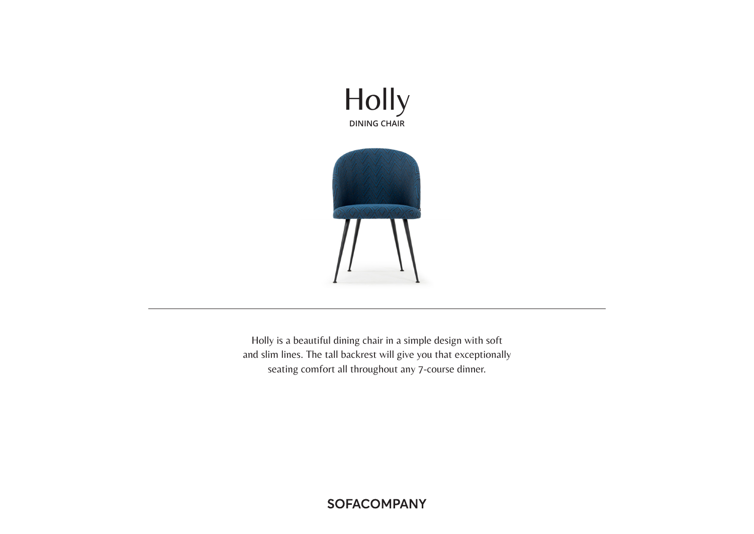



Holly is a beautiful dining chair in a simple design with soft and slim lines. The tall backrest will give you that exceptionally seating comfort all throughout any 7-course dinner.

**SOFACOMPANY**